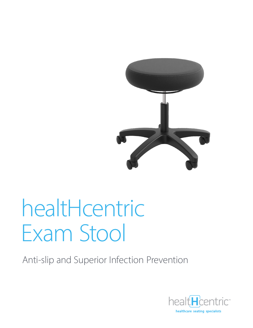

# healtHcentric **Exam Stool**

Anti-slip and Superior Infection Prevention